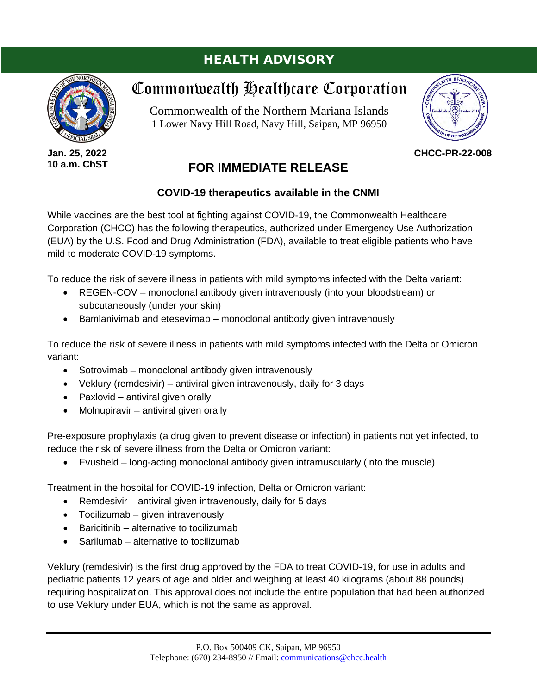## HEALTH ADVISORY



**Jan. 25, 2022 10 a.m. ChST**

# Commonwealth Healthcare Corporation

Commonwealth of the Northern Mariana Islands 1 Lower Navy Hill Road, Navy Hill, Saipan, MP 96950



**CHCC-PR-22-008**

### **FOR IMMEDIATE RELEASE**

### **COVID-19 therapeutics available in the CNMI**

While vaccines are the best tool at fighting against COVID-19, the Commonwealth Healthcare Corporation (CHCC) has the following therapeutics, authorized under Emergency Use Authorization (EUA) by the U.S. Food and Drug Administration (FDA), available to treat eligible patients who have mild to moderate COVID-19 symptoms.

To reduce the risk of severe illness in patients with mild symptoms infected with the Delta variant:

- REGEN-COV monoclonal antibody given intravenously (into your bloodstream) or subcutaneously (under your skin)
- Bamlanivimab and etesevimab monoclonal antibody given intravenously

To reduce the risk of severe illness in patients with mild symptoms infected with the Delta or Omicron variant:

- Sotrovimab monoclonal antibody given intravenously
- Veklury (remdesivir) antiviral given intravenously, daily for 3 days
- Paxlovid antiviral given orally
- Molnupiravir antiviral given orally

Pre-exposure prophylaxis (a drug given to prevent disease or infection) in patients not yet infected, to reduce the risk of severe illness from the Delta or Omicron variant:

• Evusheld – long-acting monoclonal antibody given intramuscularly (into the muscle)

Treatment in the hospital for COVID-19 infection, Delta or Omicron variant:

- Remdesivir antiviral given intravenously, daily for 5 days
- Tocilizumab given intravenously
- Baricitinib alternative to tocilizumab
- Sarilumab alternative to tocilizumab

Veklury (remdesivir) is the first drug approved by the FDA to treat COVID-19, for use in adults and pediatric patients 12 years of age and older and weighing at least 40 kilograms (about 88 pounds) requiring hospitalization. This approval does not include the entire population that had been authorized to use Veklury under EUA, which is not the same as approval.